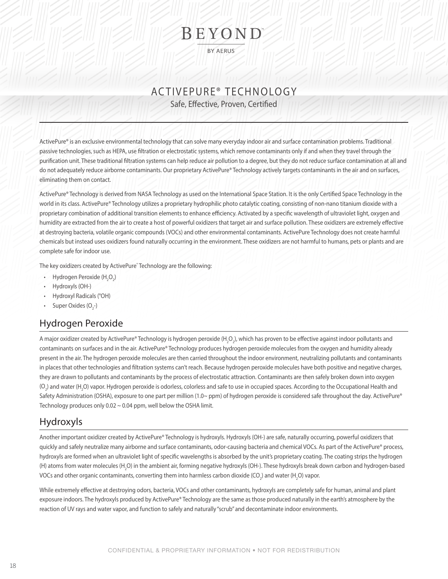# BEYOND

**BY AERUS** 

Safe, Effective, Proven, Certified

ActivePure® is an exclusive environmental technology that can solve many everyday indoor air and surface contamination problems. Traditional passive technologies, such as HEPA, use filtration or electrostatic systems, which remove contaminants only if and when they travel through the purification unit. These traditional filtration systems can help reduce air pollution to a degree, but they do not reduce surface contamination at all and do not adequately reduce airborne contaminants. Our proprietary ActivePure® Technology actively targets contaminants in the air and on surfaces, eliminating them on contact.

ActivePure® Technology is derived from NASA Technology as used on the International Space Station. It is the only Certified Space Technology in the world in its class. ActivePure® Technology utilizes a proprietary hydrophilic photo catalytic coating, consisting of non-nano titanium dioxide with a proprietary combination of additional transition elements to enhance efficiency. Activated by a specific wavelength of ultraviolet light, oxygen and humidity are extracted from the air to create a host of powerful oxidizers that target air and surface pollution. These oxidizers are extremely effective at destroying bacteria, volatile organic compounds (VOCs) and other environmental contaminants. ActivePure Technology does not create harmful chemicals but instead uses oxidizers found naturally occurring in the environment. These oxidizers are not harmful to humans, pets or plants and are complete safe for indoor use.

The key oxidizers created by ActivePure˚ Technology are the following:

- Hydrogen Peroxide (H<sub>2</sub>O<sub>2</sub>)
- Hydroxyls (OH-)
- Hydroxyl Radicals (°OH)
- Super Oxides  $(O_2^-)$

#### Hydrogen Peroxide

 $\overline{L}$  Safe, Effective, Proveno, Certified<br>
Safe, Effective, Proveno, Certified<br>
movies and a stream of the stream stream system (which were containing to the stream of the stream stream stream stream stream stream stre A major oxidizer created by ActivePure® Technology is hydrogen peroxide (H<sub>2</sub>O<sub>2</sub>), which has proven to be effective against indoor pollutants and contaminants on surfaces and in the air. ActivePure® Technology produces hydrogen peroxide molecules from the oxygen and humidity already present in the air. The hydrogen peroxide molecules are then carried throughout the indoor environment, neutralizing pollutants and contaminants in places that other technologies and filtration systems can't reach. Because hydrogen peroxide molecules have both positive and negative charges, they are drawn to pollutants and contaminants by the process of electrostatic attraction. Contaminants are then safely broken down into oxygen  $\rm(O_2)$  and water (H<sub>2</sub>O) vapor. Hydrogen peroxide is odorless, colorless and safe to use in occupied spaces. According to the Occupational Health and Safety Administration (OSHA), exposure to one part per million (1.0~ ppm) of hydrogen peroxide is considered safe throughout the day. ActivePure® Technology produces only 0.02 ~ 0.04 ppm, well below the OSHA limit.

### Hydroxyls

Another important oxidizer created by ActivePure® Technology is hydroxyls. Hydroxyls (OH-) are safe, naturally occurring, powerful oxidizers that quickly and safely neutralize many airborne and surface contaminants, odor-causing bacteria and chemical VOCs. As part of the ActivePure® process, hydroxyls are formed when an ultraviolet light of specific wavelengths is absorbed by the unit's proprietary coating. The coating strips the hydrogen (H) atoms from water molecules (H<sub>2</sub>O) in the ambient air, forming negative hydroxyls (OH-). These hydroxyls break down carbon and hydrogen-based VOCs and other organic contaminants, converting them into harmless carbon dioxide (CO<sub>2</sub>) and water (H<sub>2</sub>O) vapor.

While extremely effective at destroying odors, bacteria, VOCs and other contaminants, hydroxyls are completely safe for human, animal and plant exposure indoors. The hydroxyls produced by ActivePure® Technology are the same as those produced naturally in the earth's atmosphere by the reaction of UV rays and water vapor, and function to safely and naturally "scrub" and decontaminate indoor environments.